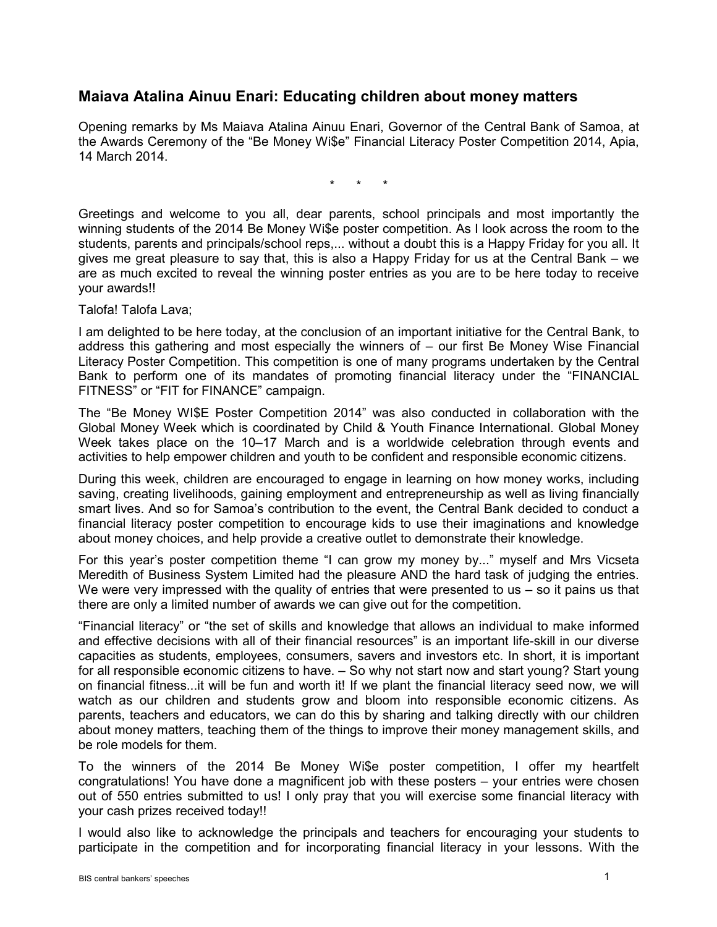## **Maiava Atalina Ainuu Enari: Educating children about money matters**

Opening remarks by Ms Maiava Atalina Ainuu Enari, Governor of the Central Bank of Samoa, at the Awards Ceremony of the "Be Money Wi\$e" Financial Literacy Poster Competition 2014, Apia, 14 March 2014.

\* \* \*

Greetings and welcome to you all, dear parents, school principals and most importantly the winning students of the 2014 Be Money Wi\$e poster competition. As I look across the room to the students, parents and principals/school reps,... without a doubt this is a Happy Friday for you all. It gives me great pleasure to say that, this is also a Happy Friday for us at the Central Bank – we are as much excited to reveal the winning poster entries as you are to be here today to receive your awards!!

Talofa! Talofa Lava;

I am delighted to be here today, at the conclusion of an important initiative for the Central Bank, to address this gathering and most especially the winners of – our first Be Money Wise Financial Literacy Poster Competition. This competition is one of many programs undertaken by the Central Bank to perform one of its mandates of promoting financial literacy under the "FINANCIAL FITNESS" or "FIT for FINANCE" campaign.

The "Be Money WI\$E Poster Competition 2014" was also conducted in collaboration with the Global Money Week which is coordinated by Child & Youth Finance International. Global Money Week takes place on the 10–17 March and is a worldwide celebration through events and activities to help empower children and youth to be confident and responsible economic citizens.

During this week, children are encouraged to engage in learning on how money works, including saving, creating livelihoods, gaining employment and entrepreneurship as well as living financially smart lives. And so for Samoa's contribution to the event, the Central Bank decided to conduct a financial literacy poster competition to encourage kids to use their imaginations and knowledge about money choices, and help provide a creative outlet to demonstrate their knowledge.

For this year's poster competition theme "I can grow my money by..." myself and Mrs Vicseta Meredith of Business System Limited had the pleasure AND the hard task of judging the entries. We were very impressed with the quality of entries that were presented to us  $-$  so it pains us that there are only a limited number of awards we can give out for the competition.

"Financial literacy" or "the set of skills and knowledge that allows an individual to make informed and effective decisions with all of their financial resources" is an important life-skill in our diverse capacities as students, employees, consumers, savers and investors etc. In short, it is important for all responsible economic citizens to have. – So why not start now and start young? Start young on financial fitness...it will be fun and worth it! If we plant the financial literacy seed now, we will watch as our children and students grow and bloom into responsible economic citizens. As parents, teachers and educators, we can do this by sharing and talking directly with our children about money matters, teaching them of the things to improve their money management skills, and be role models for them.

To the winners of the 2014 Be Money Wi\$e poster competition, I offer my heartfelt congratulations! You have done a magnificent job with these posters – your entries were chosen out of 550 entries submitted to us! I only pray that you will exercise some financial literacy with your cash prizes received today!!

I would also like to acknowledge the principals and teachers for encouraging your students to participate in the competition and for incorporating financial literacy in your lessons. With the